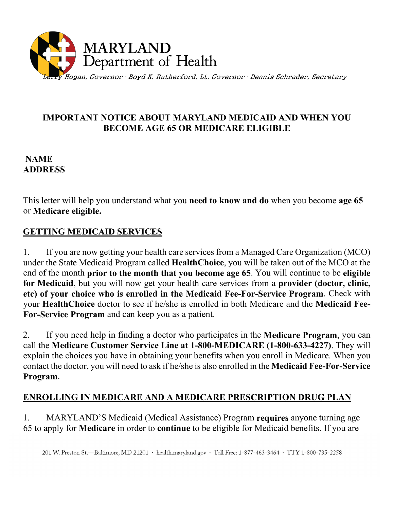

### **IMPORTANT NOTICE ABOUT MARYLAND MEDICAID AND WHEN YOU BECOME AGE 65 OR MEDICARE ELIGIBLE**

### **NAME ADDRESS**

This letter will help you understand what you **need to know and do** when you become **age 65** or **Medicare eligible.**

# **GETTING MEDICAID SERVICES**

1. If you are now getting your health care services from a Managed Care Organization (MCO) under the State Medicaid Program called **HealthChoice**, you will be taken out of the MCO at the end of the month **prior to the month that you become age 65**. You will continue to be **eligible for Medicaid**, but you will now get your health care services from a **provider (doctor, clinic, etc) of your choice who is enrolled in the Medicaid Fee-For-Service Program**. Check with your **HealthChoice** doctor to see if he/she is enrolled in both Medicare and the **Medicaid Fee-For-Service Program** and can keep you as a patient.

2. If you need help in finding a doctor who participates in the **Medicare Program**, you can call the **Medicare Customer Service Line at 1-800-MEDICARE (1-800-633-4227)**. They will explain the choices you have in obtaining your benefits when you enroll in Medicare. When you contact the doctor, you will need to ask if he/she is also enrolled in the **Medicaid Fee-For-Service Program**.

## **ENROLLING IN MEDICARE AND A MEDICARE PRESCRIPTION DRUG PLAN**

1. MARYLAND'S Medicaid (Medical Assistance) Program **requires** anyone turning age 65 to apply for **Medicare** in order to **continue** to be eligible for Medicaid benefits. If you are

201 W. Preston St.-Baltimore, MD 21201 · health.maryland.gov · Toll Free: 1-877-463-3464 · TTY 1-800-735-2258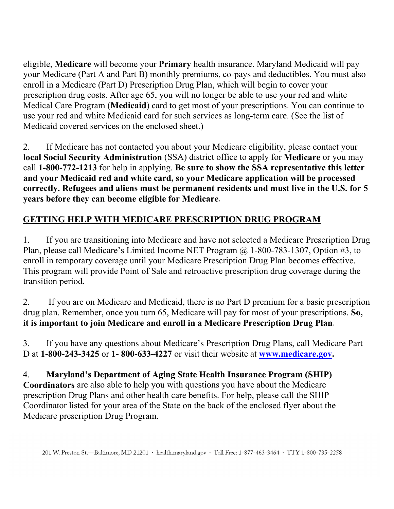eligible, **Medicare** will become your **Primary** health insurance. Maryland Medicaid will pay your Medicare (Part A and Part B) monthly premiums, co-pays and deductibles. You must also enroll in a Medicare (Part D) Prescription Drug Plan, which will begin to cover your prescription drug costs. After age 65, you will no longer be able to use your red and white Medical Care Program (**Medicaid**) card to get most of your prescriptions. You can continue to use your red and white Medicaid card for such services as long-term care. (See the list of Medicaid covered services on the enclosed sheet.)

2. If Medicare has not contacted you about your Medicare eligibility, please contact your **local Social Security Administration** (SSA) district office to apply for **Medicare** or you may call **1-800-772-1213** for help in applying. **Be sure to show the SSA representative this letter and your Medicaid red and white card, so your Medicare application will be processed correctly. Refugees and aliens must be permanent residents and must live in the U.S. for 5 years before they can become eligible for Medicare**.

# **GETTING HELP WITH MEDICARE PRESCRIPTION DRUG PROGRAM**

1. If you are transitioning into Medicare and have not selected a Medicare Prescription Drug Plan, please call Medicare's Limited Income NET Program @ 1-800-783-1307, Option #3, to enroll in temporary coverage until your Medicare Prescription Drug Plan becomes effective. This program will provide Point of Sale and retroactive prescription drug coverage during the transition period.

2. If you are on Medicare and Medicaid, there is no Part D premium for a basic prescription drug plan. Remember, once you turn 65, Medicare will pay for most of your prescriptions. **So, it is important to join Medicare and enroll in a Medicare Prescription Drug Plan**.

3. If you have any questions about Medicare's Prescription Drug Plans, call Medicare Part D at **1-800-243-3425** or **1- 800-633-4227** or visit their website at **[www.medicare.gov.](http://www.medicare.gov/)**

4. **Maryland's Department of Aging State Health Insurance Program (SHIP) Coordinators** are also able to help you with questions you have about the Medicare prescription Drug Plans and other health care benefits. For help, please call the SHIP Coordinator listed for your area of the State on the back of the enclosed flyer about the Medicare prescription Drug Program.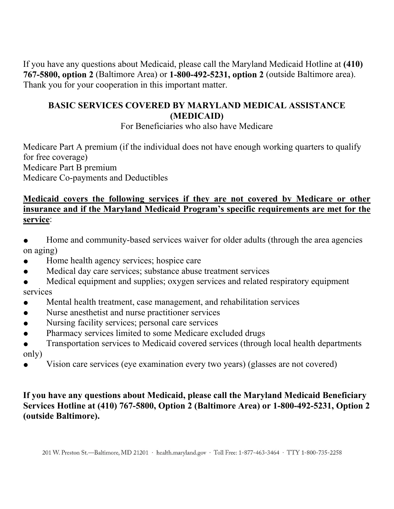If you have any questions about Medicaid, please call the Maryland Medicaid Hotline at **(410) 767-5800, option 2** (Baltimore Area) or **1-800-492-5231, option 2** (outside Baltimore area). Thank you for your cooperation in this important matter.

## **BASIC SERVICES COVERED BY MARYLAND MEDICAL ASSISTANCE (MEDICAID)**

For Beneficiaries who also have Medicare

Medicare Part A premium (if the individual does not have enough working quarters to qualify for free coverage) Medicare Part B premium Medicare Co-payments and Deductibles

### **Medicaid covers the following services if they are not covered by Medicare or other insurance and if the Maryland Medicaid Program's specific requirements are met for the service**:

- Home and community-based services waiver for older adults (through the area agencies on aging)
- Home health agency services; hospice care
- Medical day care services; substance abuse treatment services
- Medical equipment and supplies; oxygen services and related respiratory equipment services
- Mental health treatment, case management, and rehabilitation services
- Nurse anesthetist and nurse practitioner services
- Nursing facility services; personal care services
- Pharmacy services limited to some Medicare excluded drugs
- Transportation services to Medicaid covered services (through local health departments only)
- Vision care services (eye examination every two years) (glasses are not covered)

### **If you have any questions about Medicaid, please call the Maryland Medicaid Beneficiary Services Hotline at (410) 767-5800, Option 2 (Baltimore Area) or 1-800-492-5231, Option 2 (outside Baltimore).**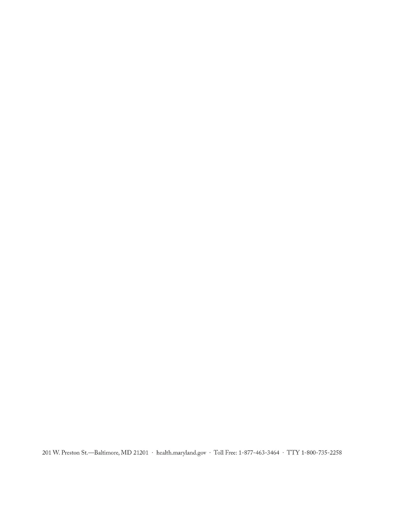201 W. Preston St.—Baltimore, MD 21201 · health.maryland.gov · Toll Free: 1-877-463-3464 · TTY 1-800-735-2258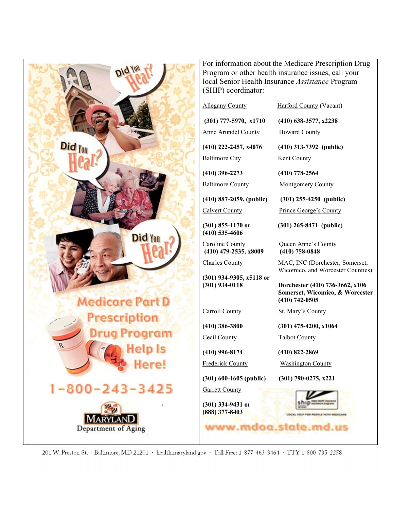

<sup>201</sup> W. Preston St.—Baltimore, MD 21201 · health.maryland.gov · Toll Free: 1-877-463-3464 · TTY 1-800-735-2258